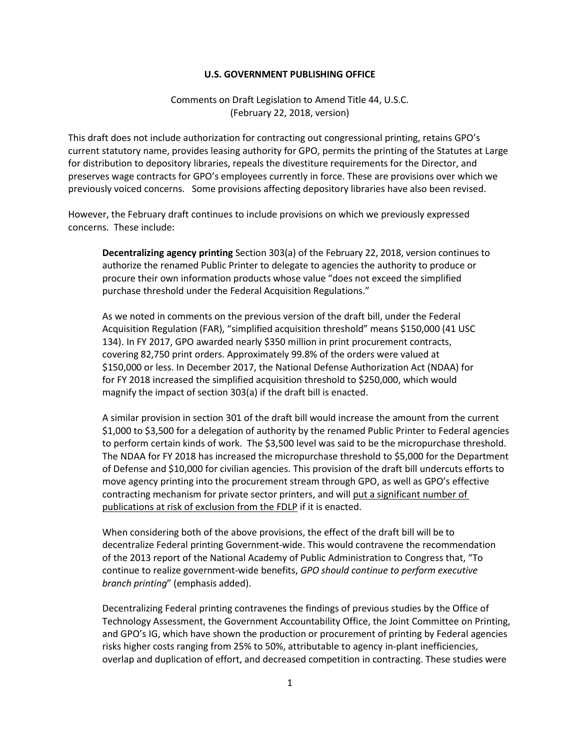## **U.S. GOVERNMENT PUBLISHING OFFICE**

Comments on Draft Legislation to Amend Title 44, U.S.C. (February 22, 2018, version)

This draft does not include authorization for contracting out congressional printing, retains GPO's current statutory name, provides leasing authority for GPO, permits the printing of the Statutes at Large for distribution to depository libraries, repeals the divestiture requirements for the Director, and preserves wage contracts for GPO's employees currently in force. These are provisions over which we previously voiced concerns. Some provisions affecting depository libraries have also been revised.

However, the February draft continues to include provisions on which we previously expressed concerns. These include:

**Decentralizing agency printing** Section 303(a) of the February 22, 2018, version continues to authorize the renamed Public Printer to delegate to agencies the authority to produce or procure their own information products whose value "does not exceed the simplified purchase threshold under the Federal Acquisition Regulations."

As we noted in comments on the previous version of the draft bill, under the Federal Acquisition Regulation (FAR), "simplified acquisition threshold" means \$150,000 (41 USC 134). In FY 2017, GPO awarded nearly \$350 million in print procurement contracts, covering 82,750 print orders. Approximately 99.8% of the orders were valued at \$150,000 or less. In December 2017, the National Defense Authorization Act (NDAA) for for FY 2018 increased the simplified acquisition threshold to \$250,000, which would magnify the impact of section 303(a) if the draft bill is enacted.

A similar provision in section 301 of the draft bill would increase the amount from the current \$1,000 to \$3,500 for a delegation of authority by the renamed Public Printer to Federal agencies to perform certain kinds of work. The \$3,500 level was said to be the micropurchase threshold. The NDAA for FY 2018 has increased the micropurchase threshold to \$5,000 for the Department of Defense and \$10,000 for civilian agencies. This provision of the draft bill undercuts efforts to move agency printing into the procurement stream through GPO, as well as GPO's effective contracting mechanism for private sector printers, and will put a significant number of publications at risk of exclusion from the FDLP if it is enacted.

When considering both of the above provisions, the effect of the draft bill will be to decentralize Federal printing Government-wide. This would contravene the recommendation of the 2013 report of the National Academy of Public Administration to Congress that, "To continue to realize government-wide benefits, *GPO should continue to perform executive branch printing*" (emphasis added).

Decentralizing Federal printing contravenes the findings of previous studies by the Office of Technology Assessment, the Government Accountability Office, the Joint Committee on Printing, and GPO's IG, which have shown the production or procurement of printing by Federal agencies risks higher costs ranging from 25% to 50%, attributable to agency in-plant inefficiencies, overlap and duplication of effort, and decreased competition in contracting. These studies were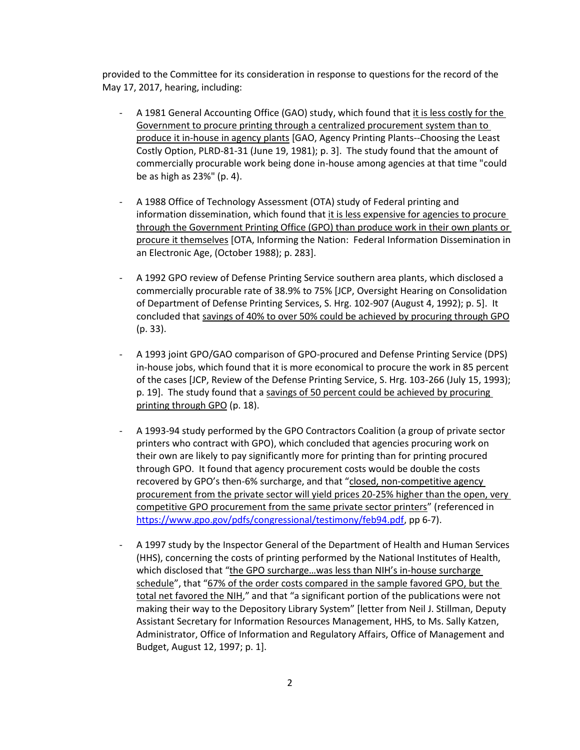provided to the Committee for its consideration in response to questions for the record of the May 17, 2017, hearing, including:

- A 1981 General Accounting Office (GAO) study, which found that it is less costly for the Government to procure printing through a centralized procurement system than to produce it in-house in agency plants [GAO, Agency Printing Plants--Choosing the Least Costly Option, PLRD-81-31 (June 19, 1981); p. 3]. The study found that the amount of commercially procurable work being done in-house among agencies at that time "could be as high as 23%" (p. 4).
- A 1988 Office of Technology Assessment (OTA) study of Federal printing and information dissemination, which found that it is less expensive for agencies to procure through the Government Printing Office (GPO) than produce work in their own plants or procure it themselves [OTA, Informing the Nation: Federal Information Dissemination in an Electronic Age, (October 1988); p. 283].
- A 1992 GPO review of Defense Printing Service southern area plants, which disclosed a commercially procurable rate of 38.9% to 75% [JCP, Oversight Hearing on Consolidation of Department of Defense Printing Services, S. Hrg. 102-907 (August 4, 1992); p. 5]. It concluded that savings of 40% to over 50% could be achieved by procuring through GPO (p. 33).
- A 1993 joint GPO/GAO comparison of GPO-procured and Defense Printing Service (DPS) in-house jobs, which found that it is more economical to procure the work in 85 percent of the cases [JCP, Review of the Defense Printing Service, S. Hrg. 103-266 (July 15, 1993); p. 19]. The study found that a savings of 50 percent could be achieved by procuring printing through GPO (p. 18).
- A 1993-94 study performed by the GPO Contractors Coalition (a group of private sector printers who contract with GPO), which concluded that agencies procuring work on their own are likely to pay significantly more for printing than for printing procured through GPO. It found that agency procurement costs would be double the costs recovered by GPO's then-6% surcharge, and that "closed, non-competitive agency procurement from the private sector will yield prices 20-25% higher than the open, very competitive GPO procurement from the same private sector printers" (referenced in [https://www.gpo.gov/pdfs/congressional/testimony/feb94.pdf,](https://www.gpo.gov/pdfs/congressional/testimony/feb94.pdf) pp 6-7).
- A 1997 study by the Inspector General of the Department of Health and Human Services (HHS), concerning the costs of printing performed by the National Institutes of Health, which disclosed that "the GPO surcharge...was less than NIH's in-house surcharge schedule", that "67% of the order costs compared in the sample favored GPO, but the total net favored the NIH," and that "a significant portion of the publications were not making their way to the Depository Library System" [letter from Neil J. Stillman, Deputy Assistant Secretary for Information Resources Management, HHS, to Ms. Sally Katzen, Administrator, Office of Information and Regulatory Affairs, Office of Management and Budget, August 12, 1997; p. 1].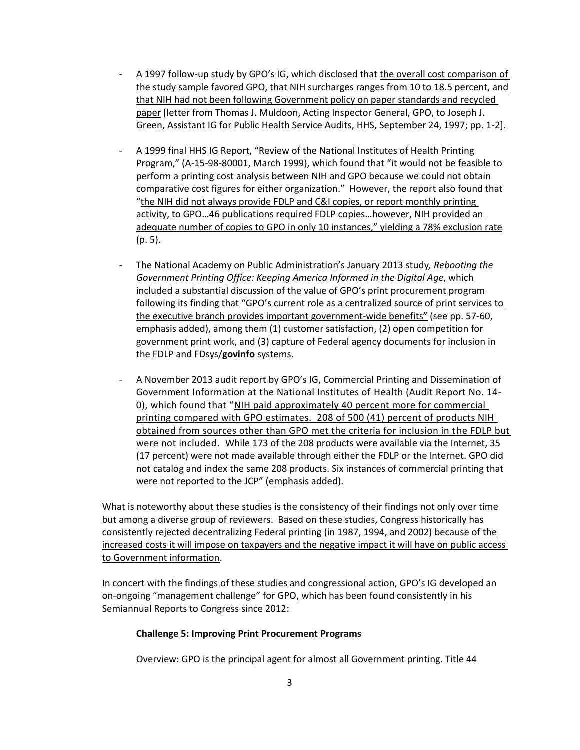- A 1997 follow-up study by GPO's IG, which disclosed that the overall cost comparison of the study sample favored GPO, that NIH surcharges ranges from 10 to 18.5 percent, and that NIH had not been following Government policy on paper standards and recycled paper [letter from Thomas J. Muldoon, Acting Inspector General, GPO, to Joseph J. Green, Assistant IG for Public Health Service Audits, HHS, September 24, 1997; pp. 1-2].
- A 1999 final HHS IG Report, "Review of the National Institutes of Health Printing Program," (A-15-98-80001, March 1999), which found that "it would not be feasible to perform a printing cost analysis between NIH and GPO because we could not obtain comparative cost figures for either organization." However, the report also found that "the NIH did not always provide FDLP and C&I copies, or report monthly printing activity, to GPO…46 publications required FDLP copies…however, NIH provided an adequate number of copies to GPO in only 10 instances," yielding a 78% exclusion rate (p. 5).
- The National Academy on Public Administration's January 2013 study*, Rebooting the Government Printing Office: Keeping America Informed in the Digital Age*, which included a substantial discussion of the value of GPO's print procurement program following its finding that "GPO's current role as a centralized source of print services to the executive branch provides important government-wide benefits" (see pp. 57-60, emphasis added), among them (1) customer satisfaction, (2) open competition for government print work, and (3) capture of Federal agency documents for inclusion in the FDLP and FDsys/**govinfo** systems.
- A November 2013 audit report by GPO's IG, Commercial Printing and Dissemination of Government Information at the National Institutes of Health (Audit Report No. 14- 0), which found that "NIH paid approximately 40 percent more for commercial printing compared with GPO estimates. 208 of 500 (41) percent of products NIH obtained from sources other than GPO met the criteria for inclusion in the FDLP but were not included. While 173 of the 208 products were available via the Internet, 35 (17 percent) were not made available through either the FDLP or the Internet. GPO did not catalog and index the same 208 products. Six instances of commercial printing that were not reported to the JCP" (emphasis added).

What is noteworthy about these studies is the consistency of their findings not only over time but among a diverse group of reviewers. Based on these studies, Congress historically has consistently rejected decentralizing Federal printing (in 1987, 1994, and 2002) because of the increased costs it will impose on taxpayers and the negative impact it will have on public access to Government information.

In concert with the findings of these studies and congressional action, GPO's IG developed an on-ongoing "management challenge" for GPO, which has been found consistently in his Semiannual Reports to Congress since 2012:

## **Challenge 5: Improving Print Procurement Programs**

Overview: GPO is the principal agent for almost all Government printing. Title 44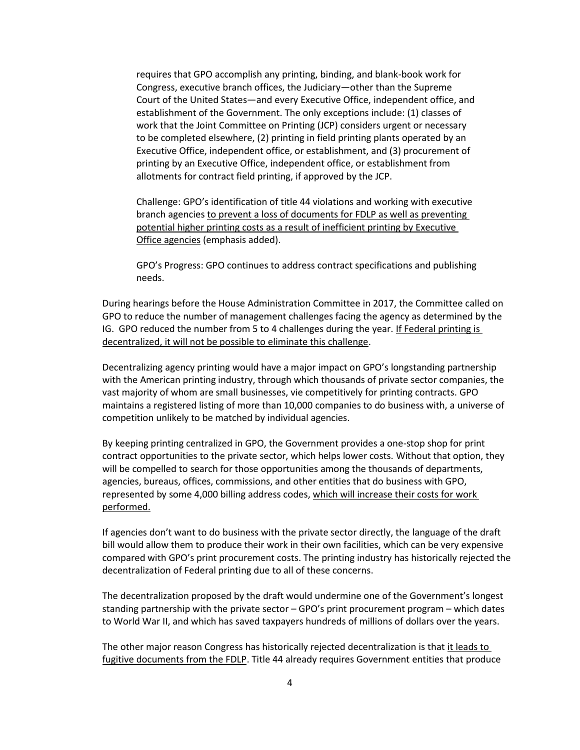requires that GPO accomplish any printing, binding, and blank-book work for Congress, executive branch offices, the Judiciary—other than the Supreme Court of the United States—and every Executive Office, independent office, and establishment of the Government. The only exceptions include: (1) classes of work that the Joint Committee on Printing (JCP) considers urgent or necessary to be completed elsewhere, (2) printing in field printing plants operated by an Executive Office, independent office, or establishment, and (3) procurement of printing by an Executive Office, independent office, or establishment from allotments for contract field printing, if approved by the JCP.

Challenge: GPO's identification of title 44 violations and working with executive branch agencies to prevent a loss of documents for FDLP as well as preventing potential higher printing costs as a result of inefficient printing by Executive Office agencies (emphasis added).

GPO's Progress: GPO continues to address contract specifications and publishing needs.

During hearings before the House Administration Committee in 2017, the Committee called on GPO to reduce the number of management challenges facing the agency as determined by the IG. GPO reduced the number from 5 to 4 challenges during the year. If Federal printing is decentralized, it will not be possible to eliminate this challenge.

Decentralizing agency printing would have a major impact on GPO's longstanding partnership with the American printing industry, through which thousands of private sector companies, the vast majority of whom are small businesses, vie competitively for printing contracts. GPO maintains a registered listing of more than 10,000 companies to do business with, a universe of competition unlikely to be matched by individual agencies.

By keeping printing centralized in GPO, the Government provides a one-stop shop for print contract opportunities to the private sector, which helps lower costs. Without that option, they will be compelled to search for those opportunities among the thousands of departments, agencies, bureaus, offices, commissions, and other entities that do business with GPO, represented by some 4,000 billing address codes, which will increase their costs for work performed.

If agencies don't want to do business with the private sector directly, the language of the draft bill would allow them to produce their work in their own facilities, which can be very expensive compared with GPO's print procurement costs. The printing industry has historically rejected the decentralization of Federal printing due to all of these concerns.

The decentralization proposed by the draft would undermine one of the Government's longest standing partnership with the private sector – GPO's print procurement program – which dates to World War II, and which has saved taxpayers hundreds of millions of dollars over the years.

The other major reason Congress has historically rejected decentralization is that it leads to fugitive documents from the FDLP. Title 44 already requires Government entities that produce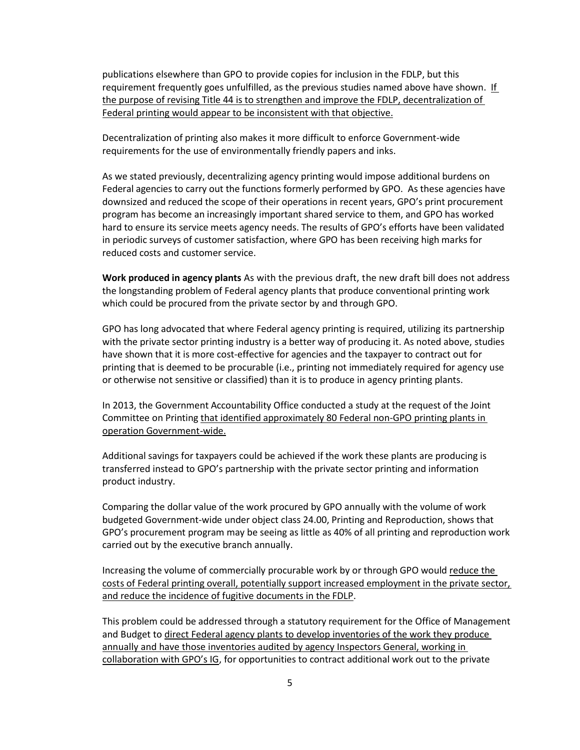publications elsewhere than GPO to provide copies for inclusion in the FDLP, but this requirement frequently goes unfulfilled, as the previous studies named above have shown. If the purpose of revising Title 44 is to strengthen and improve the FDLP, decentralization of Federal printing would appear to be inconsistent with that objective.

Decentralization of printing also makes it more difficult to enforce Government-wide requirements for the use of environmentally friendly papers and inks.

As we stated previously, decentralizing agency printing would impose additional burdens on Federal agencies to carry out the functions formerly performed by GPO. As these agencies have downsized and reduced the scope of their operations in recent years, GPO's print procurement program has become an increasingly important shared service to them, and GPO has worked hard to ensure its service meets agency needs. The results of GPO's efforts have been validated in periodic surveys of customer satisfaction, where GPO has been receiving high marks for reduced costs and customer service.

**Work produced in agency plants** As with the previous draft, the new draft bill does not address the longstanding problem of Federal agency plants that produce conventional printing work which could be procured from the private sector by and through GPO.

GPO has long advocated that where Federal agency printing is required, utilizing its partnership with the private sector printing industry is a better way of producing it. As noted above, studies have shown that it is more cost-effective for agencies and the taxpayer to contract out for printing that is deemed to be procurable (i.e., printing not immediately required for agency use or otherwise not sensitive or classified) than it is to produce in agency printing plants.

In 2013, the Government Accountability Office conducted a study at the request of the Joint Committee on Printing that identified approximately 80 Federal non-GPO printing plants in operation Government-wide.

Additional savings for taxpayers could be achieved if the work these plants are producing is transferred instead to GPO's partnership with the private sector printing and information product industry.

Comparing the dollar value of the work procured by GPO annually with the volume of work budgeted Government-wide under object class 24.00, Printing and Reproduction, shows that GPO's procurement program may be seeing as little as 40% of all printing and reproduction work carried out by the executive branch annually.

Increasing the volume of commercially procurable work by or through GPO would reduce the costs of Federal printing overall, potentially support increased employment in the private sector, and reduce the incidence of fugitive documents in the FDLP.

This problem could be addressed through a statutory requirement for the Office of Management and Budget to direct Federal agency plants to develop inventories of the work they produce annually and have those inventories audited by agency Inspectors General, working in collaboration with GPO's IG, for opportunities to contract additional work out to the private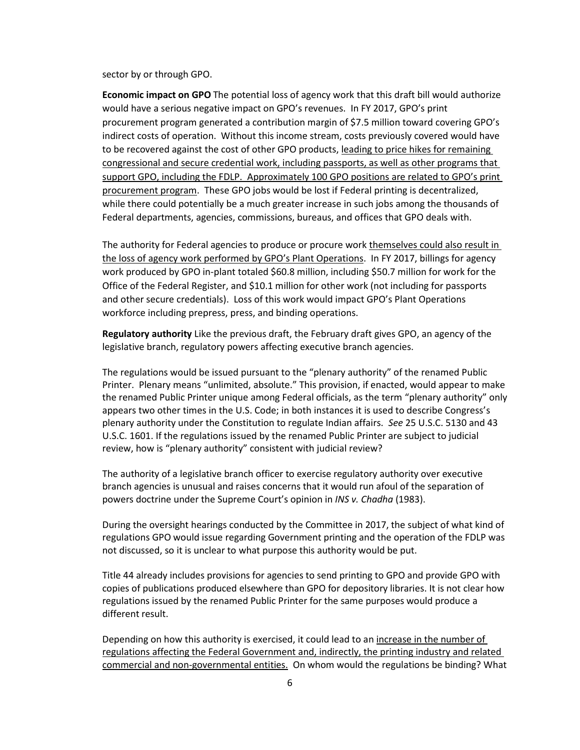sector by or through GPO.

**Economic impact on GPO** The potential loss of agency work that this draft bill would authorize would have a serious negative impact on GPO's revenues. In FY 2017, GPO's print procurement program generated a contribution margin of \$7.5 million toward covering GPO's indirect costs of operation. Without this income stream, costs previously covered would have to be recovered against the cost of other GPO products, leading to price hikes for remaining congressional and secure credential work, including passports, as well as other programs that support GPO, including the FDLP. Approximately 100 GPO positions are related to GPO's print procurement program. These GPO jobs would be lost if Federal printing is decentralized, while there could potentially be a much greater increase in such jobs among the thousands of Federal departments, agencies, commissions, bureaus, and offices that GPO deals with.

The authority for Federal agencies to produce or procure work themselves could also result in the loss of agency work performed by GPO's Plant Operations. In FY 2017, billings for agency work produced by GPO in-plant totaled \$60.8 million, including \$50.7 million for work for the Office of the Federal Register, and \$10.1 million for other work (not including for passports and other secure credentials). Loss of this work would impact GPO's Plant Operations workforce including prepress, press, and binding operations.

**Regulatory authority** Like the previous draft, the February draft gives GPO, an agency of the legislative branch, regulatory powers affecting executive branch agencies.

The regulations would be issued pursuant to the "plenary authority" of the renamed Public Printer. Plenary means "unlimited, absolute." This provision, if enacted, would appear to make the renamed Public Printer unique among Federal officials, as the term "plenary authority" only appears two other times in the U.S. Code; in both instances it is used to describe Congress's plenary authority under the Constitution to regulate Indian affairs. *See* 25 U.S.C. 5130 and 43 U.S.C. 1601. If the regulations issued by the renamed Public Printer are subject to judicial review, how is "plenary authority" consistent with judicial review?

The authority of a legislative branch officer to exercise regulatory authority over executive branch agencies is unusual and raises concerns that it would run afoul of the separation of powers doctrine under the Supreme Court's opinion in *INS v. Chadha* (1983).

During the oversight hearings conducted by the Committee in 2017, the subject of what kind of regulations GPO would issue regarding Government printing and the operation of the FDLP was not discussed, so it is unclear to what purpose this authority would be put.

Title 44 already includes provisions for agencies to send printing to GPO and provide GPO with copies of publications produced elsewhere than GPO for depository libraries. It is not clear how regulations issued by the renamed Public Printer for the same purposes would produce a different result.

Depending on how this authority is exercised, it could lead to an increase in the number of regulations affecting the Federal Government and, indirectly, the printing industry and related commercial and non-governmental entities. On whom would the regulations be binding? What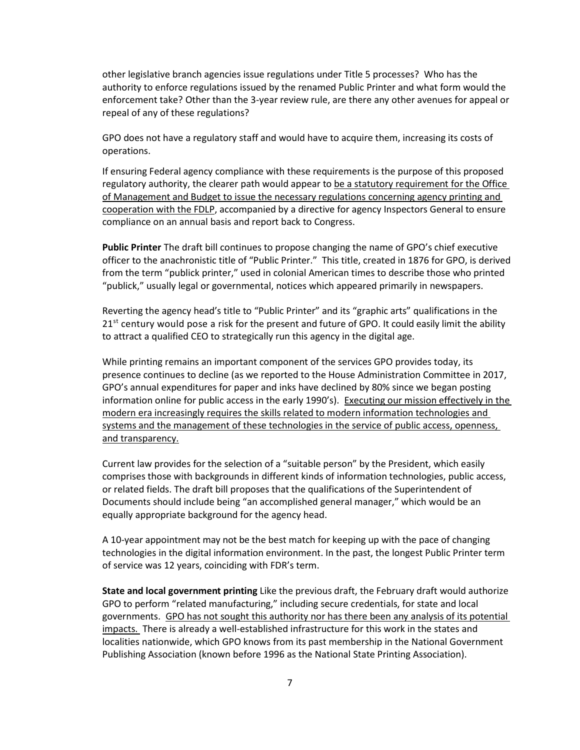other legislative branch agencies issue regulations under Title 5 processes? Who has the authority to enforce regulations issued by the renamed Public Printer and what form would the enforcement take? Other than the 3-year review rule, are there any other avenues for appeal or repeal of any of these regulations?

GPO does not have a regulatory staff and would have to acquire them, increasing its costs of operations.

If ensuring Federal agency compliance with these requirements is the purpose of this proposed regulatory authority, the clearer path would appear to be a statutory requirement for the Office of Management and Budget to issue the necessary regulations concerning agency printing and cooperation with the FDLP, accompanied by a directive for agency Inspectors General to ensure compliance on an annual basis and report back to Congress.

**Public Printer** The draft bill continues to propose changing the name of GPO's chief executive officer to the anachronistic title of "Public Printer." This title, created in 1876 for GPO, is derived from the term "publick printer," used in colonial American times to describe those who printed "publick," usually legal or governmental, notices which appeared primarily in newspapers.

Reverting the agency head's title to "Public Printer" and its "graphic arts" qualifications in the  $21<sup>st</sup>$  century would pose a risk for the present and future of GPO. It could easily limit the ability to attract a qualified CEO to strategically run this agency in the digital age.

While printing remains an important component of the services GPO provides today, its presence continues to decline (as we reported to the House Administration Committee in 2017, GPO's annual expenditures for paper and inks have declined by 80% since we began posting information online for public access in the early 1990's). Executing our mission effectively in the modern era increasingly requires the skills related to modern information technologies and systems and the management of these technologies in the service of public access, openness, and transparency.

Current law provides for the selection of a "suitable person" by the President, which easily comprises those with backgrounds in different kinds of information technologies, public access, or related fields. The draft bill proposes that the qualifications of the Superintendent of Documents should include being "an accomplished general manager," which would be an equally appropriate background for the agency head.

A 10-year appointment may not be the best match for keeping up with the pace of changing technologies in the digital information environment. In the past, the longest Public Printer term of service was 12 years, coinciding with FDR's term.

**State and local government printing** Like the previous draft, the February draft would authorize GPO to perform "related manufacturing," including secure credentials, for state and local governments. GPO has not sought this authority nor has there been any analysis of its potential impacts. There is already a well-established infrastructure for this work in the states and localities nationwide, which GPO knows from its past membership in the National Government Publishing Association (known before 1996 as the National State Printing Association).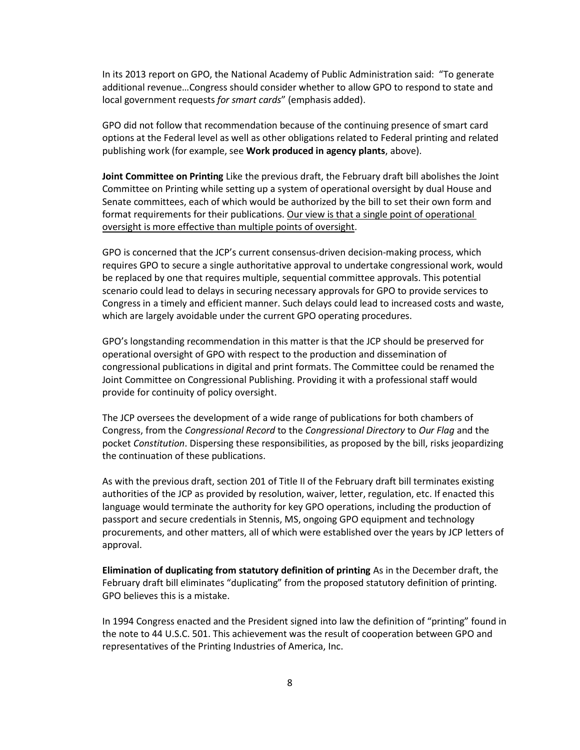In its 2013 report on GPO, the National Academy of Public Administration said: "To generate additional revenue…Congress should consider whether to allow GPO to respond to state and local government requests *for smart cards*" (emphasis added).

GPO did not follow that recommendation because of the continuing presence of smart card options at the Federal level as well as other obligations related to Federal printing and related publishing work (for example, see **Work produced in agency plants**, above).

**Joint Committee on Printing** Like the previous draft, the February draft bill abolishes the Joint Committee on Printing while setting up a system of operational oversight by dual House and Senate committees, each of which would be authorized by the bill to set their own form and format requirements for their publications. Our view is that a single point of operational oversight is more effective than multiple points of oversight.

GPO is concerned that the JCP's current consensus-driven decision-making process, which requires GPO to secure a single authoritative approval to undertake congressional work, would be replaced by one that requires multiple, sequential committee approvals. This potential scenario could lead to delays in securing necessary approvals for GPO to provide services to Congress in a timely and efficient manner. Such delays could lead to increased costs and waste, which are largely avoidable under the current GPO operating procedures.

GPO's longstanding recommendation in this matter is that the JCP should be preserved for operational oversight of GPO with respect to the production and dissemination of congressional publications in digital and print formats. The Committee could be renamed the Joint Committee on Congressional Publishing. Providing it with a professional staff would provide for continuity of policy oversight.

The JCP oversees the development of a wide range of publications for both chambers of Congress, from the *Congressional Record* to the *Congressional Directory* to *Our Flag* and the pocket *Constitution*. Dispersing these responsibilities, as proposed by the bill, risks jeopardizing the continuation of these publications.

As with the previous draft, section 201 of Title II of the February draft bill terminates existing authorities of the JCP as provided by resolution, waiver, letter, regulation, etc. If enacted this language would terminate the authority for key GPO operations, including the production of passport and secure credentials in Stennis, MS, ongoing GPO equipment and technology procurements, and other matters, all of which were established over the years by JCP letters of approval.

**Elimination of duplicating from statutory definition of printing** As in the December draft, the February draft bill eliminates "duplicating" from the proposed statutory definition of printing. GPO believes this is a mistake.

In 1994 Congress enacted and the President signed into law the definition of "printing" found in the note to 44 U.S.C. 501. This achievement was the result of cooperation between GPO and representatives of the Printing Industries of America, Inc.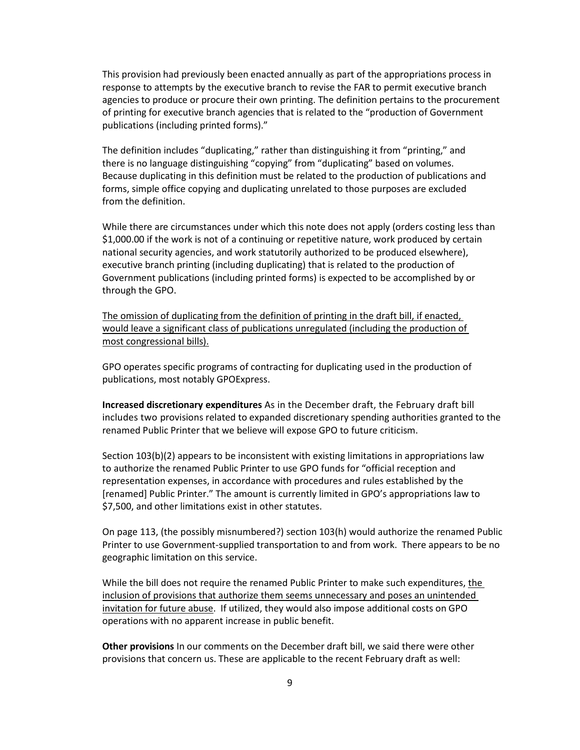This provision had previously been enacted annually as part of the appropriations process in response to attempts by the executive branch to revise the FAR to permit executive branch agencies to produce or procure their own printing. The definition pertains to the procurement of printing for executive branch agencies that is related to the "production of Government publications (including printed forms)."

The definition includes "duplicating," rather than distinguishing it from "printing," and there is no language distinguishing "copying" from "duplicating" based on volumes. Because duplicating in this definition must be related to the production of publications and forms, simple office copying and duplicating unrelated to those purposes are excluded from the definition.

While there are circumstances under which this note does not apply (orders costing less than \$1,000.00 if the work is not of a continuing or repetitive nature, work produced by certain national security agencies, and work statutorily authorized to be produced elsewhere), executive branch printing (including duplicating) that is related to the production of Government publications (including printed forms) is expected to be accomplished by or through the GPO.

The omission of duplicating from the definition of printing in the draft bill, if enacted, would leave a significant class of publications unregulated (including the production of most congressional bills).

GPO operates specific programs of contracting for duplicating used in the production of publications, most notably GPOExpress.

**Increased discretionary expenditures** As in the December draft, the February draft bill includes two provisions related to expanded discretionary spending authorities granted to the renamed Public Printer that we believe will expose GPO to future criticism.

Section 103(b)(2) appears to be inconsistent with existing limitations in appropriations law to authorize the renamed Public Printer to use GPO funds for "official reception and representation expenses, in accordance with procedures and rules established by the [renamed] Public Printer." The amount is currently limited in GPO's appropriations law to \$7,500, and other limitations exist in other statutes.

On page 113, (the possibly misnumbered?) section 103(h) would authorize the renamed Public Printer to use Government-supplied transportation to and from work. There appears to be no geographic limitation on this service.

While the bill does not require the renamed Public Printer to make such expenditures, the inclusion of provisions that authorize them seems unnecessary and poses an unintended invitation for future abuse. If utilized, they would also impose additional costs on GPO operations with no apparent increase in public benefit.

**Other provisions** In our comments on the December draft bill, we said there were other provisions that concern us. These are applicable to the recent February draft as well: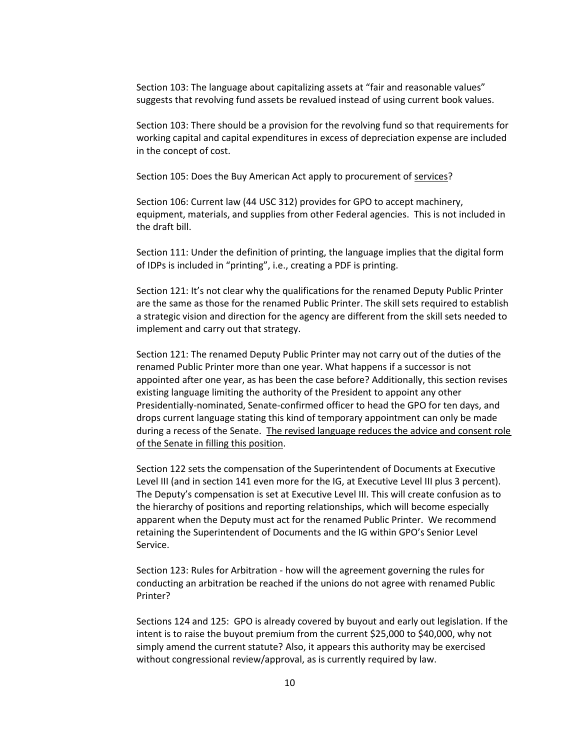Section 103: The language about capitalizing assets at "fair and reasonable values" suggests that revolving fund assets be revalued instead of using current book values.

Section 103: There should be a provision for the revolving fund so that requirements for working capital and capital expenditures in excess of depreciation expense are included in the concept of cost.

Section 105: Does the Buy American Act apply to procurement of services?

Section 106: Current law (44 USC 312) provides for GPO to accept machinery, equipment, materials, and supplies from other Federal agencies. This is not included in the draft bill.

Section 111: Under the definition of printing, the language implies that the digital form of IDPs is included in "printing", i.e., creating a PDF is printing.

Section 121: It's not clear why the qualifications for the renamed Deputy Public Printer are the same as those for the renamed Public Printer. The skill sets required to establish a strategic vision and direction for the agency are different from the skill sets needed to implement and carry out that strategy.

Section 121: The renamed Deputy Public Printer may not carry out of the duties of the renamed Public Printer more than one year. What happens if a successor is not appointed after one year, as has been the case before? Additionally, this section revises existing language limiting the authority of the President to appoint any other Presidentially-nominated, Senate-confirmed officer to head the GPO for ten days, and drops current language stating this kind of temporary appointment can only be made during a recess of the Senate. The revised language reduces the advice and consent role of the Senate in filling this position.

Section 122 sets the compensation of the Superintendent of Documents at Executive Level III (and in section 141 even more for the IG, at Executive Level III plus 3 percent). The Deputy's compensation is set at Executive Level III. This will create confusion as to the hierarchy of positions and reporting relationships, which will become especially apparent when the Deputy must act for the renamed Public Printer. We recommend retaining the Superintendent of Documents and the IG within GPO's Senior Level Service.

Section 123: Rules for Arbitration - how will the agreement governing the rules for conducting an arbitration be reached if the unions do not agree with renamed Public Printer?

Sections 124 and 125: GPO is already covered by buyout and early out legislation. If the intent is to raise the buyout premium from the current \$25,000 to \$40,000, why not simply amend the current statute? Also, it appears this authority may be exercised without congressional review/approval, as is currently required by law.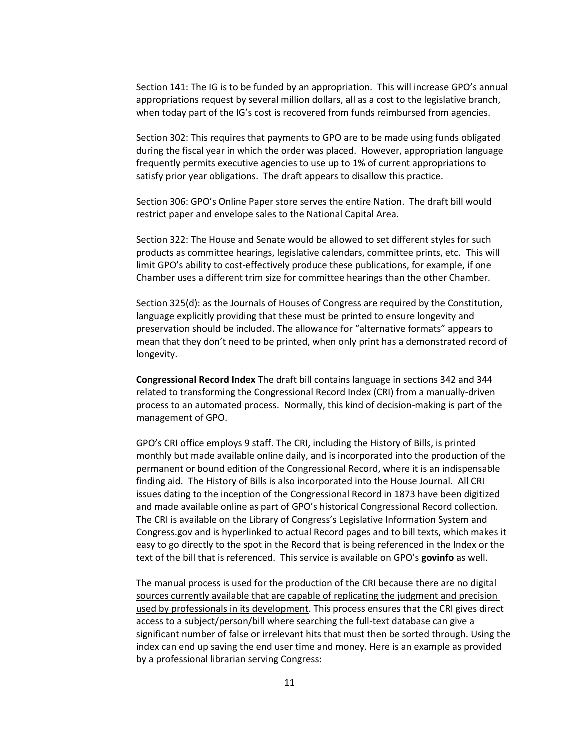Section 141: The IG is to be funded by an appropriation. This will increase GPO's annual appropriations request by several million dollars, all as a cost to the legislative branch, when today part of the IG's cost is recovered from funds reimbursed from agencies.

Section 302: This requires that payments to GPO are to be made using funds obligated during the fiscal year in which the order was placed. However, appropriation language frequently permits executive agencies to use up to 1% of current appropriations to satisfy prior year obligations. The draft appears to disallow this practice.

Section 306: GPO's Online Paper store serves the entire Nation. The draft bill would restrict paper and envelope sales to the National Capital Area.

Section 322: The House and Senate would be allowed to set different styles for such products as committee hearings, legislative calendars, committee prints, etc. This will limit GPO's ability to cost-effectively produce these publications, for example, if one Chamber uses a different trim size for committee hearings than the other Chamber.

Section 325(d): as the Journals of Houses of Congress are required by the Constitution, language explicitly providing that these must be printed to ensure longevity and preservation should be included. The allowance for "alternative formats" appears to mean that they don't need to be printed, when only print has a demonstrated record of longevity.

**Congressional Record Index** The draft bill contains language in sections 342 and 344 related to transforming the Congressional Record Index (CRI) from a manually-driven process to an automated process. Normally, this kind of decision-making is part of the management of GPO.

GPO's CRI office employs 9 staff. The CRI, including the History of Bills, is printed monthly but made available online daily, and is incorporated into the production of the permanent or bound edition of the Congressional Record, where it is an indispensable finding aid. The History of Bills is also incorporated into the House Journal. All CRI issues dating to the inception of the Congressional Record in 1873 have been digitized and made available online as part of GPO's historical Congressional Record collection. The CRI is available on the Library of Congress's Legislative Information System and Congress.gov and is hyperlinked to actual Record pages and to bill texts, which makes it easy to go directly to the spot in the Record that is being referenced in the Index or the text of the bill that is referenced. This service is available on GPO's **govinfo** as well.

The manual process is used for the production of the CRI because there are no digital sources currently available that are capable of replicating the judgment and precision used by professionals in its development. This process ensures that the CRI gives direct access to a subject/person/bill where searching the full-text database can give a significant number of false or irrelevant hits that must then be sorted through. Using the index can end up saving the end user time and money. Here is an example as provided by a professional librarian serving Congress: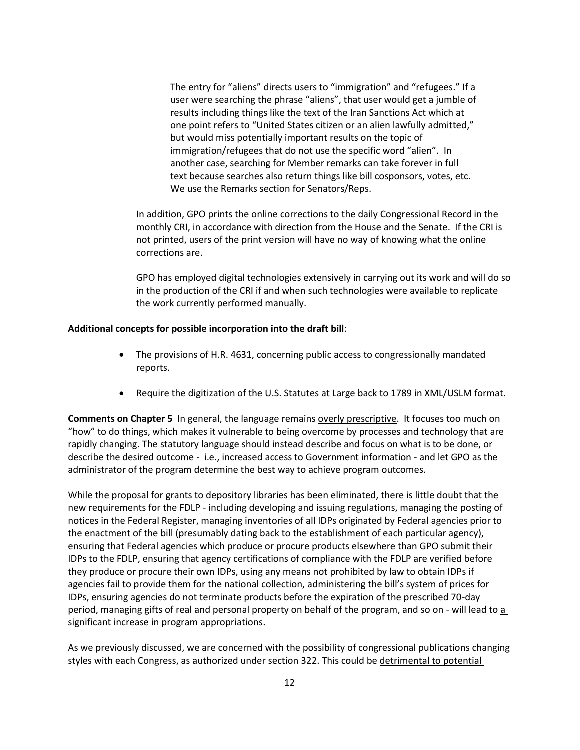The entry for "aliens" directs users to "immigration" and "refugees." If a user were searching the phrase "aliens", that user would get a jumble of results including things like the text of the Iran Sanctions Act which at one point refers to "United States citizen or an alien lawfully admitted," but would miss potentially important results on the topic of immigration/refugees that do not use the specific word "alien". In another case, searching for Member remarks can take forever in full text because searches also return things like bill cosponsors, votes, etc. We use the Remarks section for Senators/Reps.

In addition, GPO prints the online corrections to the daily Congressional Record in the monthly CRI, in accordance with direction from the House and the Senate. If the CRI is not printed, users of the print version will have no way of knowing what the online corrections are.

GPO has employed digital technologies extensively in carrying out its work and will do so in the production of the CRI if and when such technologies were available to replicate the work currently performed manually.

## **Additional concepts for possible incorporation into the draft bill**:

- The provisions of H.R. 4631, concerning public access to congressionally mandated reports.
- Require the digitization of the U.S. Statutes at Large back to 1789 in XML/USLM format.

**Comments on Chapter 5** In general, the language remains overly prescriptive. It focuses too much on "how" to do things, which makes it vulnerable to being overcome by processes and technology that are rapidly changing. The statutory language should instead describe and focus on what is to be done, or describe the desired outcome - i.e., increased access to Government information - and let GPO as the administrator of the program determine the best way to achieve program outcomes.

While the proposal for grants to depository libraries has been eliminated, there is little doubt that the new requirements for the FDLP - including developing and issuing regulations, managing the posting of notices in the Federal Register, managing inventories of all IDPs originated by Federal agencies prior to the enactment of the bill (presumably dating back to the establishment of each particular agency), ensuring that Federal agencies which produce or procure products elsewhere than GPO submit their IDPs to the FDLP, ensuring that agency certifications of compliance with the FDLP are verified before they produce or procure their own IDPs, using any means not prohibited by law to obtain IDPs if agencies fail to provide them for the national collection, administering the bill's system of prices for IDPs, ensuring agencies do not terminate products before the expiration of the prescribed 70-day period, managing gifts of real and personal property on behalf of the program, and so on - will lead to a significant increase in program appropriations.

As we previously discussed, we are concerned with the possibility of congressional publications changing styles with each Congress, as authorized under section 322. This could be detrimental to potential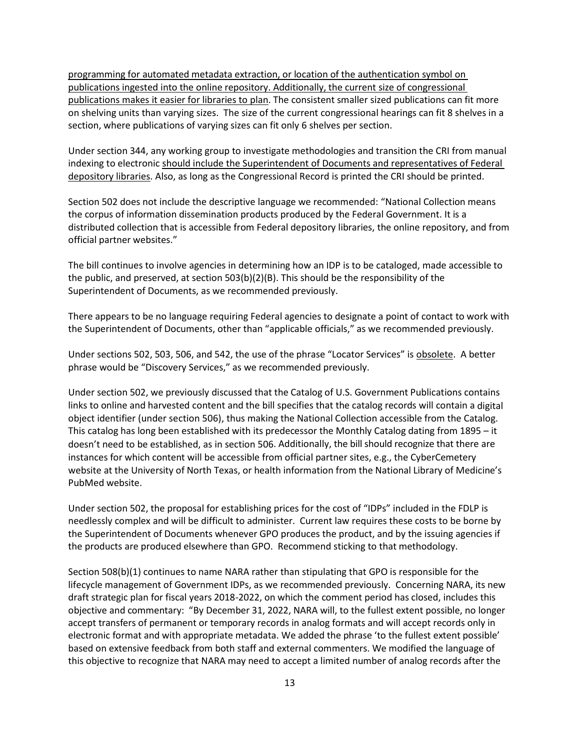programming for automated metadata extraction, or location of the authentication symbol on publications ingested into the online repository. Additionally, the current size of congressional publications makes it easier for libraries to plan. The consistent smaller sized publications can fit more on shelving units than varying sizes. The size of the current congressional hearings can fit 8 shelves in a section, where publications of varying sizes can fit only 6 shelves per section.

Under section 344, any working group to investigate methodologies and transition the CRI from manual indexing to electronic should include the Superintendent of Documents and representatives of Federal depository libraries. Also, as long as the Congressional Record is printed the CRI should be printed.

Section 502 does not include the descriptive language we recommended: "National Collection means the corpus of information dissemination products produced by the Federal Government. It is a distributed collection that is accessible from Federal depository libraries, the online repository, and from official partner websites."

The bill continues to involve agencies in determining how an IDP is to be cataloged, made accessible to the public, and preserved, at section 503(b)(2)(B). This should be the responsibility of the Superintendent of Documents, as we recommended previously.

There appears to be no language requiring Federal agencies to designate a point of contact to work with the Superintendent of Documents, other than "applicable officials," as we recommended previously.

Under sections 502, 503, 506, and 542, the use of the phrase "Locator Services" is obsolete. A better phrase would be "Discovery Services," as we recommended previously.

Under section 502, we previously discussed that the Catalog of U.S. Government Publications contains links to online and harvested content and the bill specifies that the catalog records will contain a digital object identifier (under section 506), thus making the National Collection accessible from the Catalog. This catalog has long been established with its predecessor the Monthly Catalog dating from 1895 – it doesn't need to be established, as in section 506. Additionally, the bill should recognize that there are instances for which content will be accessible from official partner sites, e.g., the CyberCemetery website at the University of North Texas, or health information from the National Library of Medicine's PubMed website.

Under section 502, the proposal for establishing prices for the cost of "IDPs" included in the FDLP is needlessly complex and will be difficult to administer. Current law requires these costs to be borne by the Superintendent of Documents whenever GPO produces the product, and by the issuing agencies if the products are produced elsewhere than GPO. Recommend sticking to that methodology.

Section 508(b)(1) continues to name NARA rather than stipulating that GPO is responsible for the lifecycle management of Government IDPs, as we recommended previously. Concerning NARA, its new draft strategic plan for fiscal years 2018-2022, on which the comment period has closed, includes this objective and commentary: "By December 31, 2022, NARA will, to the fullest extent possible, no longer accept transfers of permanent or temporary records in analog formats and will accept records only in electronic format and with appropriate metadata. We added the phrase 'to the fullest extent possible' based on extensive feedback from both staff and external commenters. We modified the language of this objective to recognize that NARA may need to accept a limited number of analog records after the